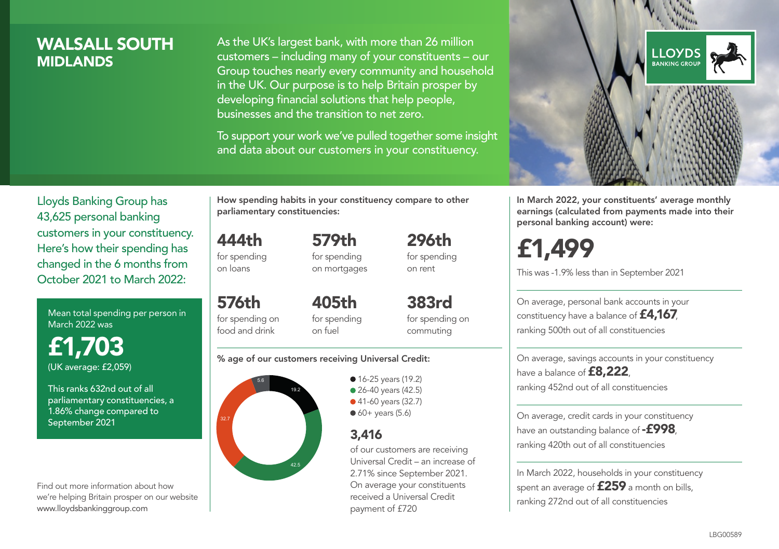# WALSALL SOUTH **MIDI ANDS**

As the UK's largest bank, with more than 26 million customers – including many of your constituents – our Group touches nearly every community and household in the UK. Our purpose is to help Britain prosper by developing financial solutions that help people, businesses and the transition to net zero.

To support your work we've pulled together some insight and data about our customers in your constituency.



In March 2022, your constituents' average monthly earnings (calculated from payments made into their personal banking account) were:

£1,499

This was -1.9% less than in September 2021

On average, personal bank accounts in your constituency have a balance of £4,167, ranking 500th out of all constituencies

On average, savings accounts in your constituency have a balance of **£8,222**, ranking 452nd out of all constituencies

On average, credit cards in your constituency have an outstanding balance of **-£998** ranking 420th out of all constituencies

In March 2022, households in your constituency spent an average of **£259** a month on bills, ranking 272nd out of all constituencies

Lloyds Banking Group has 43,625 personal banking customers in your constituency. Here's how their spending has changed in the 6 months from October 2021 to March 2022:

Mean total spending per person in March 2022 was

£1,703 (UK average: £2,059)

This ranks 632nd out of all parliamentary constituencies, a 1.86% change compared to September 2021

Find out more information about how we're helping Britain prosper on our website www.lloydsbankinggroup.com

How spending habits in your constituency compare to other parliamentary constituencies:

444th for spending 579th

on loans

576th for spending on food and drink

for spending on mortgages 296th for spending on rent

405th for spending on fuel

383rd for spending on commuting

#### % age of our customers receiving Universal Credit:



**16-25 years (19.2)** • 26-40 years (42.5) ● 41-60 years (32.7)  $60+$  years (5.6)

## 3,416

of our customers are receiving Universal Credit – an increase of 2.71% since September 2021. On average your constituents received a Universal Credit payment of £720